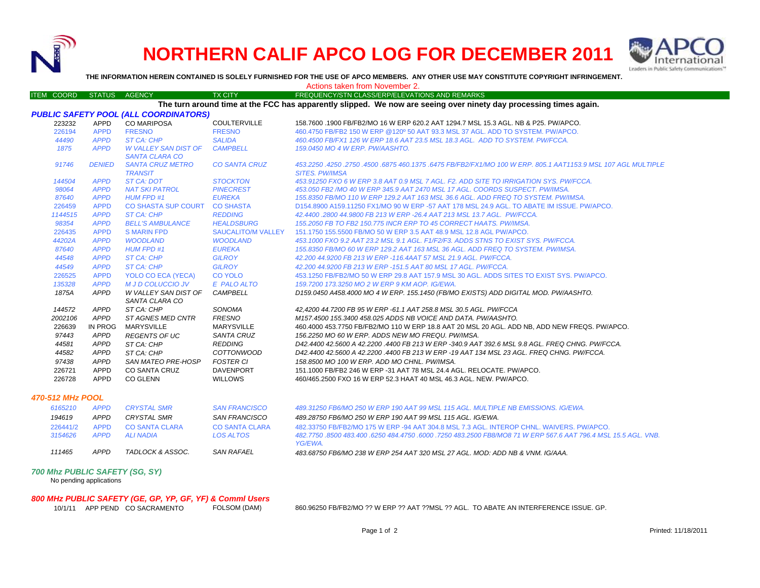

## **NORTHERN CALIF APCO LOG FOR DECEMBER 2011**



**THE INFORMATION HEREIN CONTAINED IS SOLELY FURNISHED FOR THE USE OF APCO MEMBERS. ANY OTHER USE MAY CONSTITUTE COPYRIGHT INFRINGEMENT.**

| ITEM COORD                                                                                                        | STATUS AGENCY |                             | <b>TX CITY</b>        | FREQUENCY/STN CLASS/ERP/ELEVATIONS AND REMARKS                                                                 |  |  |  |  |
|-------------------------------------------------------------------------------------------------------------------|---------------|-----------------------------|-----------------------|----------------------------------------------------------------------------------------------------------------|--|--|--|--|
| The turn around time at the FCC has apparently slipped. We now are seeing over ninety day processing times again. |               |                             |                       |                                                                                                                |  |  |  |  |
| <b>PUBLIC SAFETY POOL (ALL COORDINATORS)</b>                                                                      |               |                             |                       |                                                                                                                |  |  |  |  |
| 223232                                                                                                            | APPD          | <b>CO MARIPOSA</b>          | <b>COULTERVILLE</b>   | 158.7600 .1900 FB/FB2/MO 16 W ERP 620.2 AAT 1294.7 MSL 15.3 AGL. NB & P25. PW/APCO.                            |  |  |  |  |
| 226194                                                                                                            | <b>APPD</b>   | <b>FRESNO</b>               | <b>FRESNO</b>         | 460.4750 FB/FB2 150 W ERP @120° 50 AAT 93.3 MSL 37 AGL, ADD TO SYSTEM, PW/APCO,                                |  |  |  |  |
| 44490                                                                                                             | <b>APPD</b>   | ST CA: CHP                  | <b>SALIDA</b>         | 460.4500 FB/FX1 126 W ERP 18.6 AAT 23.5 MSL 18.3 AGL. ADD TO SYSTEM. PW/FCCA.                                  |  |  |  |  |
| 1875                                                                                                              | <b>APPD</b>   | <b>W VALLEY SAN DIST OF</b> | <b>CAMPBELL</b>       | 159.0450 MO 4 W ERP. PW/AASHTO.                                                                                |  |  |  |  |
|                                                                                                                   |               | <b>SANTA CLARA CO</b>       |                       |                                                                                                                |  |  |  |  |
| 91746                                                                                                             | <b>DENIED</b> | <b>SANTA CRUZ METRO</b>     | <b>CO SANTA CRUZ</b>  | 453.2250 .4250 .2750 .4500 .6875 460.1375 .6475 FB/FB2/FX1/MO 100 W ERP. 805.1 AAT1153.9 MSL 107 AGL MULTIPLE  |  |  |  |  |
|                                                                                                                   |               | <b>TRANSIT</b>              |                       | <b>SITES. PW/IMSA</b>                                                                                          |  |  |  |  |
| 144504                                                                                                            | <b>APPD</b>   | ST CA: DOT                  | <b>STOCKTON</b>       | 453.91250 FXO 6 W ERP 3.8 AAT 0.9 MSL 7 AGL. F2. ADD SITE TO IRRIGATION SYS. PW/FCCA.                          |  |  |  |  |
| 98064                                                                                                             | <b>APPD</b>   | <b>NAT SKI PATROL</b>       | <b>PINECREST</b>      | 453.050 FB2 /MO 40 W ERP 345.9 AAT 2470 MSL 17 AGL. COORDS SUSPECT. PW/IMSA.                                   |  |  |  |  |
| 87640                                                                                                             | <b>APPD</b>   | <b>HUM FPD #1</b>           | <b>EUREKA</b>         | 155.8350 FB/MO 110 W ERP 129.2 AAT 163 MSL 36.6 AGL, ADD FREQ TO SYSTEM, PW/IMSA.                              |  |  |  |  |
| 226459                                                                                                            | <b>APPD</b>   | CO SHASTA SUP COURT         | <b>CO SHASTA</b>      | D154.8900 A159.11250 FX1/MO 90 W ERP -57 AAT 178 MSL 24.9 AGL. TO ABATE IM ISSUE. PW/APCO.                     |  |  |  |  |
| 1144515                                                                                                           | <b>APPD</b>   | ST CA: CHP                  | <b>REDDING</b>        | 42.4400.2800 44.9800 FB 213 W ERP -26.4 AAT 213 MSL 13.7 AGL. PW/FCCA.                                         |  |  |  |  |
| 98354                                                                                                             | <b>APPD</b>   | <b>BELL'S AMBULANCE</b>     | <b>HEALDSBURG</b>     | 155.2050 FB TO FB2 150.775 INCR ERP TO 45 CORRECT HAATS. PW/IMSA.                                              |  |  |  |  |
| 226435                                                                                                            | <b>APPD</b>   | <b>S MARIN FPD</b>          | SAUCALITO/M VALLEY    | 151.1750 155.5500 FB/MO 50 W ERP 3.5 AAT 48.9 MSL 12.8 AGL PW/APCO.                                            |  |  |  |  |
| 44202A                                                                                                            | <b>APPD</b>   | <b>WOODLAND</b>             | <b>WOODLAND</b>       | 453.1000 FXO 9.2 AAT 23.2 MSL 9.1 AGL. F1/F2/F3. ADDS STNS TO EXIST SYS. PW/FCCA.                              |  |  |  |  |
| 87640                                                                                                             | <b>APPD</b>   | <b>HUM FPD #1</b>           | <b>EUREKA</b>         | 155.8350 FB/MO 60 W ERP 129.2 AAT 163 MSL 36 AGL. ADD FREQ TO SYSTEM. PW/IMSA.                                 |  |  |  |  |
| 44548                                                                                                             | <b>APPD</b>   | <b>ST CA: CHP</b>           | <b>GILROY</b>         | 42.200 44.9200 FB 213 W ERP -116.4AAT 57 MSL 21.9 AGL. PW/FCCA.                                                |  |  |  |  |
| 44549                                                                                                             | <b>APPD</b>   | ST CA: CHP                  | <b>GILROY</b>         | 42.200 44.9200 FB 213 W ERP -151.5 AAT 80 MSL 17 AGL. PW/FCCA.                                                 |  |  |  |  |
| 226525                                                                                                            | <b>APPD</b>   | YOLO CO ECA (YECA)          | <b>CO YOLO</b>        | 453.1250 FB/FB2/MO 50 W ERP 29.8 AAT 157.9 MSL 30 AGL. ADDS SITES TO EXIST SYS. PW/APCO.                       |  |  |  |  |
| 135328                                                                                                            | <b>APPD</b>   | <b>M J D COLUCCIO JV</b>    | E PALO ALTO           | 159.7200 173.3250 MO 2 W ERP 9 KM AOP. IG/EWA.                                                                 |  |  |  |  |
| 1875A                                                                                                             | <b>APPD</b>   | W VALLEY SAN DIST OF        | <b>CAMPBELL</b>       | D159.0450 A458.4000 MO 4 W ERP. 155.1450 (FB/MO EXISTS) ADD DIGITAL MOD. PW/AASHTO.                            |  |  |  |  |
|                                                                                                                   |               | SANTA CLARA CO              |                       |                                                                                                                |  |  |  |  |
| 144572                                                                                                            | APPD          | ST CA: CHP                  | SONOMA                | 42,4200 44.7200 FB 95 W ERP -61.1 AAT 258.8 MSL 30.5 AGL. PW/FCCA                                              |  |  |  |  |
| 2002106                                                                                                           | <b>APPD</b>   | <b>ST AGNES MED CNTR</b>    | <b>FRESNO</b>         | M157.4500 155.3400 458.025 ADDS NB VOICE AND DATA. PW/AASHTO.                                                  |  |  |  |  |
| 226639                                                                                                            | IN PROG       | <b>MARYSVILLE</b>           | <b>MARYSVILLE</b>     | 460.4000 453.7750 FB/FB2/MO 110 W ERP 18.8 AAT 20 MSL 20 AGL. ADD NB, ADD NEW FREQS. PW/APCO.                  |  |  |  |  |
| 97443                                                                                                             | <b>APPD</b>   | <b>REGENTS OF UC</b>        | SANTA CRUZ            | 156.2250 MO 60 W ERP. ADDS NEW MO FREQU. PW/IMSA.                                                              |  |  |  |  |
| 44581                                                                                                             | <b>APPD</b>   | ST CA: CHP                  | <b>REDDING</b>        | D42.4400 42.5600 A 42.2200 .4400 FB 213 W ERP -340.9 AAT 392.6 MSL 9.8 AGL. FREQ CHNG. PW/FCCA.                |  |  |  |  |
| 44582                                                                                                             | <b>APPD</b>   | ST CA: CHP                  | <b>COTTONWOOD</b>     | D42.4400 42.5600 A 42.2200 .4400 FB 213 W ERP -19 AAT 134 MSL 23 AGL. FREQ CHNG. PW/FCCA.                      |  |  |  |  |
| 97438                                                                                                             | <b>APPD</b>   | SAN MATEO PRE-HOSP          | <b>FOSTER CI</b>      | 158.8500 MO 100 W ERP. ADD MO CHNL. PW/IMSA.                                                                   |  |  |  |  |
| 226721                                                                                                            | APPD          | <b>CO SANTA CRUZ</b>        | <b>DAVENPORT</b>      | 151.1000 FB/FB2 246 W ERP -31 AAT 78 MSL 24.4 AGL, RELOCATE, PW/APCO.                                          |  |  |  |  |
| 226728                                                                                                            | <b>APPD</b>   | <b>CO GLENN</b>             | <b>WILLOWS</b>        | 460/465.2500 FXO 16 W ERP 52.3 HAAT 40 MSL 46.3 AGL, NEW, PW/APCO.                                             |  |  |  |  |
|                                                                                                                   |               |                             |                       |                                                                                                                |  |  |  |  |
| 470-512 MHz POOL                                                                                                  |               |                             |                       |                                                                                                                |  |  |  |  |
| 6165210                                                                                                           | <b>APPD</b>   | <b>CRYSTAL SMR</b>          | <b>SAN FRANCISCO</b>  | 489.31250 FB6/MO 250 W ERP 190 AAT 99 MSL 115 AGL. MULTIPLE NB EMISSIONS. IG/EWA.                              |  |  |  |  |
| 194619                                                                                                            | <b>APPD</b>   | <b>CRYSTAL SMR</b>          | <b>SAN FRANCISCO</b>  | 489.28750 FB6/MO 250 W ERP 190 AAT 99 MSL 115 AGL, IG/EWA.                                                     |  |  |  |  |
| 226441/2                                                                                                          | <b>APPD</b>   | <b>CO SANTA CLARA</b>       | <b>CO SANTA CLARA</b> | 482.33750 FB/FB2/MO 175 W ERP -94 AAT 304.8 MSL 7.3 AGL. INTEROP CHNL. WAIVERS, PW/APCO.                       |  |  |  |  |
| 3154626                                                                                                           | <b>APPD</b>   | <b>ALI NADIA</b>            | <b>LOS ALTOS</b>      | .482,7750 .8500 483,400 .6250 484,4750 .6000 .7250 483,2500 FB8/MO8 71 W ERP 567.6 AAT 796.4 MSL 15.5 AGL. VNB |  |  |  |  |
|                                                                                                                   |               |                             |                       | YG/EWA.                                                                                                        |  |  |  |  |
| 111465                                                                                                            | <b>APPD</b>   | TADLOCK & ASSOC.            | <b>SAN RAFAEL</b>     | 483.68750 FB6/MO 238 W ERP 254 AAT 320 MSL 27 AGL. MOD: ADD NB & VNM. IG/AAA.                                  |  |  |  |  |
| <b>700 Mbz PHRLIC SAFETY (SC. SV)</b>                                                                             |               |                             |                       |                                                                                                                |  |  |  |  |

## *700 Mhz PUBLIC SAFETY (SG, SY)* No pending applications

*800 MHz PUBLIC SAFETY (GE, GP, YP, GF, YF) & Comml Users* 10/1/11 APP PEND CO SACRAMENTO

860.96250 FB/FB2/MO ?? W ERP ?? AAT ??MSL ?? AGL. TO ABATE AN INTERFERENCE ISSUE. GP.